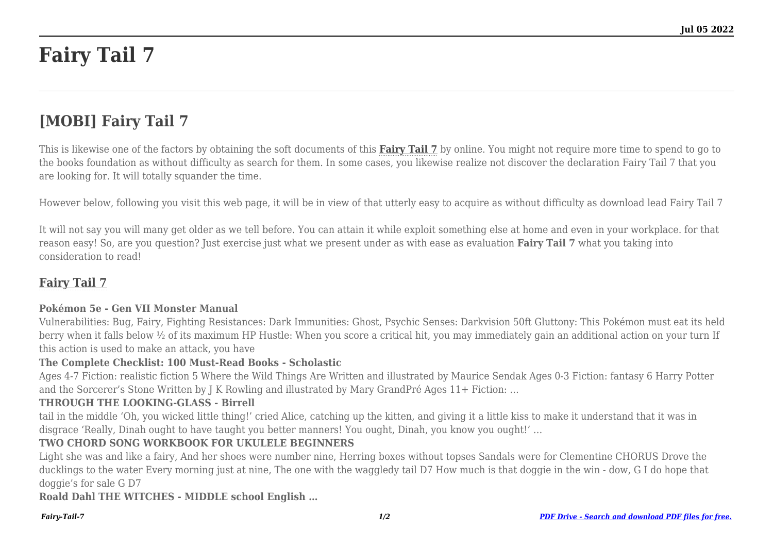# **Fairy Tail 7**

## **[MOBI] Fairy Tail 7**

This is likewise one of the factors by obtaining the soft documents of this **[Fairy Tail 7](http://jessicaberan.com)** by online. You might not require more time to spend to go to the books foundation as without difficulty as search for them. In some cases, you likewise realize not discover the declaration Fairy Tail 7 that you are looking for. It will totally squander the time.

However below, following you visit this web page, it will be in view of that utterly easy to acquire as without difficulty as download lead Fairy Tail 7

It will not say you will many get older as we tell before. You can attain it while exploit something else at home and even in your workplace. for that reason easy! So, are you question? Just exercise just what we present under as with ease as evaluation **Fairy Tail 7** what you taking into consideration to read!

### **[Fairy Tail 7](http://jessicaberan.com/Fairy-Tail-7.pdf)**

#### **Pokémon 5e - Gen VII Monster Manual**

Vulnerabilities: Bug, Fairy, Fighting Resistances: Dark Immunities: Ghost, Psychic Senses: Darkvision 50ft Gluttony: This Pokémon must eat its held berry when it falls below ½ of its maximum HP Hustle: When you score a critical hit, you may immediately gain an additional action on your turn If this action is used to make an attack, you have

#### **The Complete Checklist: 100 Must-Read Books - Scholastic**

Ages 4-7 Fiction: realistic fiction 5 Where the Wild Things Are Written and illustrated by Maurice Sendak Ages 0-3 Fiction: fantasy 6 Harry Potter and the Sorcerer's Stone Written by J K Rowling and illustrated by Mary GrandPré Ages 11+ Fiction: …

#### **THROUGH THE LOOKING-GLASS - Birrell**

tail in the middle 'Oh, you wicked little thing!' cried Alice, catching up the kitten, and giving it a little kiss to make it understand that it was in disgrace 'Really, Dinah ought to have taught you better manners! You ought, Dinah, you know you ought!' …

#### **TWO CHORD SONG WORKBOOK FOR UKULELE BEGINNERS**

Light she was and like a fairy, And her shoes were number nine, Herring boxes without topses Sandals were for Clementine CHORUS Drove the ducklings to the water Every morning just at nine, The one with the waggledy tail D7 How much is that doggie in the win - dow, G I do hope that doggie's for sale G D7

#### **Roald Dahl THE WITCHES - MIDDLE school English …**